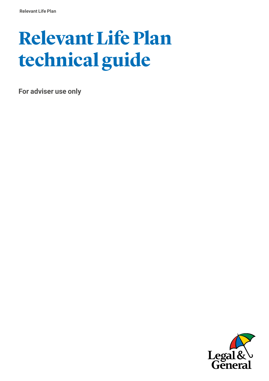# **Relevant Life Plan technical guide**

**For adviser use only** 

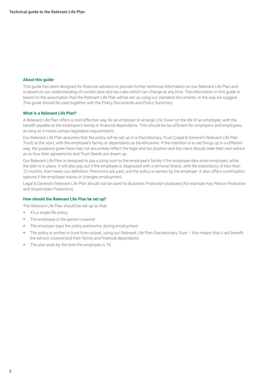#### **About this guide**

This guide has been designed for financial advisers to provide further technical information on our Relevant Life Plan and is based on our understanding of current laws and tax rules which can change at any time. The information in this guide is based on the assumption that the Relevant Life Plan will be set up using our standard documents, in the way we suggest. This guide should be used together with the Policy Documents and Policy Summary.

#### **What is a Relevant Life Plan?**

A Relevant Life Plan offers a cost-effective way for an employer to arrange Life Cover on the life of an employee, with the benefit payable to the employee's family or financial dependants. This should be tax efficient for employers and employees, as long as it meets certain legislative requirements.

Our Relevant Life Plan assumes that the policy will be set up in a Discretionary Trust (Legal & General's Relevant Life Plan Trust) at the start, with the employee's family or dependants as beneficiaries. If the intention is to set things up in a different way, the guidance given here may not accurately reflect the legal and tax position and the client should seek their own advice as to how their agreements and Trust Deeds are drawn up.

Our Relevant Life Plan is designed to pay a lump sum to the employee's family if the employee dies when employed, while the plan is in place. It will also pay out if the employee is diagnosed with a terminal illness, with life expectancy of less than 12 months, that meets our definition. Premiums are paid, and the policy is owned, by the employer. It also offers continuation options if the employee leaves or changes employment.

Legal & General's Relevant Life Plan should not be used for Business Protection purposes (for example Key Person Protection and Shareholder Protection).

#### **How should the Relevant Life Plan be set up?**

The Relevant Life Plan should be set up so that:

- It's a single life policy
- The employee is the person covered
- The employer pays the policy premiums, during employment
- The policy is written in trust from outset, using our Relevant Life Plan Discretionary Trust this means that it will benefit the person covered and their family and financial dependants
- The plan ends by the time the employee is 75.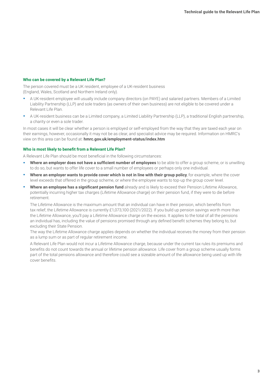#### **Who can be covered by a Relevant Life Plan?**

The person covered must be a UK resident, employee of a UK-resident business (England, Wales, Scotland and Northern Ireland only).

- A UK-resident employee will usually include company directors (on PAYE) and salaried partners. Members of a Limited Liability Partnership (LLP) and sole traders (as owners of their own business) are not eligible to be covered under a Relevant Life Plan.
- A UK-resident business can be a Limited company, a Limited Liability Partnership (LLP), a traditional English partnership, a charity or even a sole trader.

In most cases it will be clear whether a person is employed or self-employed from the way that they are taxed each year on their earnings, however, occasionally it may not be as clear, and specialist advice may be required. Information on HMRC's view on this area can be found at: **[hmrc.gov.uk/employment-status/index.htm](http://hmrc.gov.uk/employment-status/index.htm)**

#### **Who is most likely to benefit from a Relevant Life Plan?**

A Relevant Life Plan should be most beneficial in the following circumstances:

- **Where an employer does not have a sufficient number of employees** to be able to offer a group scheme, or is unwilling to do so, but wants to offer life cover to a small number of employees or perhaps only one individual.
- **Where an employer wants to provide cover which is not in line with their group policy**, for example, where the cover level exceeds that offered in the group scheme, or where the employee wants to top-up the group cover level.
- **Where an employee has a significant pension fund** already and is likely to exceed their Pension Lifetime Allowance, potentially incurring higher tax charges (Lifetime Allowance charge) on their pension fund, if they were to die before retirement.

The Lifetime Allowance is the maximum amount that an individual can have in their pension, which benefits from tax relief; the Lifetime Allowance is currently £1,073,100 (2021/2022). If you build up pension savings worth more than the Lifetime Allowance, you'll pay a Lifetime Allowance charge on the excess. It applies to the total of all the pensions an individual has, including the value of pensions promised through any defined benefit schemes they belong to, but excluding their State Pension.

The way the Lifetime Allowance charge applies depends on whether the individual receives the money from their pension as a lump sum or as part of regular retirement income.

A Relevant Life Plan would not incur a Lifetime Allowance charge, because under the current tax rules its premiums and benefits do not count towards the annual or lifetime pension allowance. Life cover from a group scheme usually forms part of the total pensions allowance and therefore could see a sizeable amount of the allowance being used up with life cover benefits.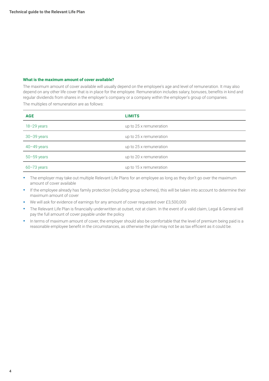#### **What is the maximum amount of cover available?**

The maximum amount of cover available will usually depend on the employee's age and level of remuneration. It may also depend on any other life cover that is in place for the employee. Remuneration includes salary, bonuses, benefits in kind and regular dividends from shares in the employer's company or a company within the employer's group of companies. The multiples of remuneration are as follows:

| <b>AGE</b>      | <b>LIMITS</b>           |
|-----------------|-------------------------|
| $18 - 29$ years | up to 25 x remuneration |
| $30 - 39$ years | up to 25 x remuneration |
| $40 - 49$ years | up to 25 x remuneration |
| $50 - 59$ years | up to 20 x remuneration |
| $60 - 73$ years | up to 15 x remuneration |

• The employer may take out multiple Relevant Life Plans for an employee as long as they don't go over the maximum amount of cover available

• If the employee already has family protection (including group schemes), this will be taken into account to determine their maximum amount of cover

• We will ask for evidence of earnings for any amount of cover requested over £3,500,000

- The Relevant Life Plan is financially underwritten at outset, not at claim. In the event of a valid claim, Legal & General will pay the full amount of cover payable under the policy
- In terms of maximum amount of cover, the employer should also be comfortable that the level of premium being paid is a reasonable employee benefit in the circumstances, as otherwise the plan may not be as tax efficient as it could be.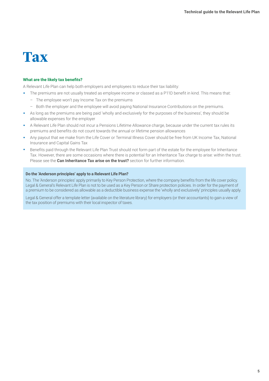### **Tax**

#### **What are the likely tax benefits?**

A Relevant Life Plan can help both employers and employees to reduce their tax liability:

- The premiums are not usually treated as employee income or classed as a P11D benefit in kind. This means that:
	- The employee won't pay Income Tax on the premiums
	- Both the employer and the employee will avoid paying National Insurance Contributions on the premiums.
- As long as the premiums are being paid 'wholly and exclusively for the purposes of the business', they should be allowable expenses for the employer
- A Relevant Life Plan should not incur a Pensions Lifetime Allowance charge, because under the current tax rules its premiums and benefits do not count towards the annual or lifetime pension allowances
- Any payout that we make from the Life Cover or Terminal Illness Cover should be free from UK Income Tax, National Insurance and Capital Gains Tax
- Benefits paid through the Relevant Life Plan Trust should not form part of the estate for the employee for Inheritance Tax. However, there are some occasions where there is potential for an Inheritance Tax charge to arise: within the trust. Please see the **Can Inheritance Tax arise on the trust?** section for further information.

#### **Do the 'Anderson principles' apply to a Relevant Life Plan?**

No. The 'Anderson principles' apply primarily to Key Person Protection, where the company benefits from the life cover policy. Legal & General's Relevant Life Plan is not to be used as a Key Person or Share protection policies. In order for the payment of a premium to be considered as allowable as a deductible business expense the 'wholly and exclusively' principles usually apply.

Legal & General offer a template letter (available on the literature library) for employers (or their accountants) to gain a view of the tax position of premiums with their local inspector of taxes.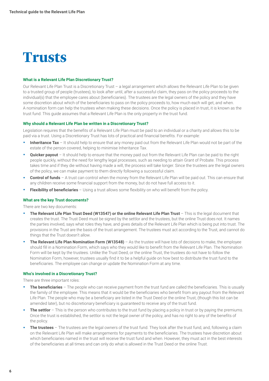

#### **What is a Relevant Life Plan Discretionary Trust?**

Our Relevant Life Plan Trust is a Discretionary Trust – a legal arrangement which allows the Relevant Life Plan to be given to a trusted group of people (trustees), to look after until, after a successful claim, they pass on the policy proceeds to the individual(s) that the employee cares about (beneficiaries). The trustees are the legal owners of the policy and they have some discretion about which of the beneficiaries to pass on the policy proceeds to, how much each will get, and when. A nomination form can help the trustees when making these decisions. Once the policy is placed in trust, it is known as the trust fund. This guide assumes that a Relevant Life Plan is the only property in the trust fund.

#### **Why should a Relevant Life Plan be written in a Discretionary Trust?**

Legislation requires that the benefits of a Relevant Life Plan must be paid to an individual or a charity and allows this to be paid via a trust. Using a Discretionary Trust has lots of practical and financial benefits. For example:

- **Inheritance Tax** It should help to ensure that any money paid out from the Relevant Life Plan would not be part of the estate of the person covered, helping to minimise Inheritance Tax.
- **Quicker payout** It should help to ensure that the money paid out from the Relevant Life Plan can be paid to the right people quickly, without the need for lengthy legal processes, such as needing to attain Grant of Probate. This process takes time and if they die without having made a will, the process will take longer. Since the trustees are the legal owners of the policy, we can make payment to them directly following a successful claim.
- **Control of funds** A trust can control when the money from the Relevant Life Plan will be paid out. This can ensure that any children receive some financial support from the money, but do not have full access to it.
- **Flexibility of beneficiaries** Using a trust allows some flexibility on who will benefit from the policy.

#### **What are the key Trust documents?**

There are two key documents:

- **The Relevant Life Plan Trust Deed (W13547) or the online Relevant Life Plan Trust** This is the legal document that creates the trust. The Trust Deed must be signed by the settlor and the trustees, but the online Trust does not. It names the parties involved, says what roles they have, and gives details of the Relevant Life Plan which is being put into trust. The provisions in the Trust are the basis of the trust arrangement. The trustees must act according to the Trust, and cannot do things that the Trust doesn't allow.
- **The Relevant Life Plan Nomination Form (W13548)** As the trustee will have lots of decisions to make, the employee should fill in a Nomination Form, which says who they would like to benefit from the Relevant Life Plan. The Nomination Form will be kept by the trustees. Unlike the Trust Deed, or the online Trust, the trustees do not have to follow the Nomination Form, however, trustees usually find it to be a helpful guide on how best to distribute the trust fund to the beneficiaries. The employee can change or update the Nomination Form at any time.

#### **Who's involved in a Discretionary Trust?**

There are three important roles:

- **The beneficiaries** The people who can receive payment from the trust fund are called the beneficiaries. This is usually the family of the employee. This means that it would be the beneficiaries who benefit from any payout from the Relevant Life Plan. The people who may be a beneficiary are listed in the Trust Deed or the online Trust, (though this list can be amended later), but no discretionary beneficiary is guaranteed to receive any of the trust fund.
- **The settlor** This is the person who contributes to the trust fund by placing a policy in trust or by paying the premiums. Once the trust is established, the settlor is not the legal owner of the policy, and has no right to any of the benefits of the policy.
- **The trustees** The trustees are the legal owners of the trust fund. They look after the trust fund, and, following a claim on the Relevant Life Plan will make arrangements for payments to the beneficiaries. The trustees have discretion about which beneficiaries named in the trust will receive the trust fund and when. However, they must act in the best interests of the beneficiaries at all times and can only do what is allowed in the Trust Deed or the online Trust.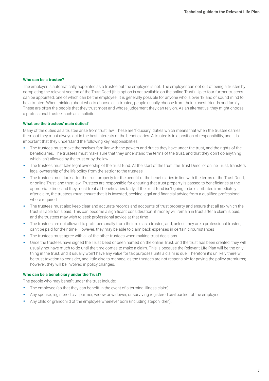#### **Who can be a trustee?**

The employer is automatically appointed as a trustee but the employee is not. The employer can opt out of being a trustee by completing the relevant section of the Trust Deed (this option is not available on the online Trust). Up to four further trustees can be appointed, one of which can be the employee. It is generally possible for anyone who is over 18 and of sound mind to be a trustee. When thinking about who to choose as a trustee, people usually choose from their closest friends and family. These are often the people that they trust most and whose judgement they can rely on. As an alternative, they might choose a professional trustee, such as a solicitor.

#### **What are the trustees' main duties?**

Many of the duties as a trustee arise from trust law. These are 'fiduciary' duties which means that when the trustee carries them out they must always act in the best interests of the beneficiaries. A trustee is in a position of responsibility, and it is important that they understand the following key responsibilities:

- The trustees must make themselves familiar with the powers and duties they have under the trust, and the rights of the beneficiaries. The trustees must make sure that they understand the terms of the trust, and that they don't do anything which isn't allowed by the trust or by the law
- The trustees must take legal ownership of the trust fund. At the start of the trust, the Trust Deed, or online Trust, transfers legal ownership of the life policy from the settlor to the trustees
- The trustees must look after the trust property for the benefit of the beneficiaries in line with the terms of the Trust Deed. or online Trust, and trust law. Trustees are responsible for ensuring that trust property is passed to beneficiaries at the appropriate time, and they must treat all beneficiaries fairly. If the trust fund isn't going to be distributed immediately after claim, the trustees must ensure that it is invested, seeking legal and financial advice from a qualified professional where required
- The trustees must also keep clear and accurate records and accounts of trust property and ensure that all tax which the trust is liable for is paid. This can become a significant consideration, if money will remain in trust after a claim is paid, and the trustees may wish to seek professional advice at that time
- The trustees are not allowed to profit personally from their role as a trustee, and, unless they are a professional trustee, can't be paid for their time. However, they may be able to claim back expenses in certain circumstances
- The trustees must agree with all of the other trustees when making trust decisions
- Once the trustees have signed the Trust Deed or been named on the online Trust, and the trust has been created, they will usually not have much to do until the time comes to make a claim. This is because the Relevant Life Plan will be the only thing in the trust, and it usually won't have any value for tax purposes until a claim is due. Therefore it's unlikely there will be trust taxation to consider, and little else to manage, as the trustees are not responsible for paying the policy premiums; however, they will be involved in policy changes.

#### **Who can be a beneficiary under the Trust?**

The people who may benefit under the trust include:

- The employee (so that they can benefit in the event of a terminal illness claim).
- Any spouse, registered civil partner, widow or widower, or surviving registered civil partner of the employee.
- Any child or grandchild of the employee whenever born (including stepchildren).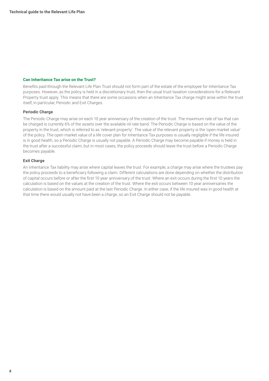#### **Can Inheritance Tax arise on the Trust?**

Benefits paid through the Relevant Life Plan Trust should not form part of the estate of the employee for Inheritance Tax purposes. However, as the policy is held in a discretionary trust, then the usual trust taxation considerations for a Relevant Property trust apply. This means that there are some occasions when an Inheritance Tax charge might arise within the trust itself, in particular, Periodic and Exit Charges.

#### **Periodic Charge**

The Periodic Charge may arise on each 10 year anniversary of the creation of the trust. The maximum rate of tax that can be charged is currently 6% of the assets over the available nil rate band. The Periodic Charge is based on the value of the property in the trust, which is referred to as 'relevant property'. The value of the relevant property is the 'open market value' of the policy. The open market value of a life cover plan for Inheritance Tax purposes is usually negligible if the life insured is in good health, so a Periodic Charge is usually not payable. A Periodic Charge may become payable if money is held in the trust after a successful claim, but in most cases, the policy proceeds should leave the trust before a Periodic Charge becomes payable.

#### **Exit Charge**

An Inheritance Tax liability may arise where capital leaves the trust. For example, a charge may arise where the trustees pay the policy proceeds to a beneficiary following a claim. Different calculations are done depending on whether the distribution of capital occurs before or after the first 10 year anniversary of the trust. Where an exit occurs during the first 10 years the calculation is based on the values at the creation of the trust. Where the exit occurs between 10 year anniversaries the calculation is based on the amount paid at the last Periodic Charge. In either case, if the life insured was in good health at that time there would usually not have been a charge, so an Exit Charge should not be payable.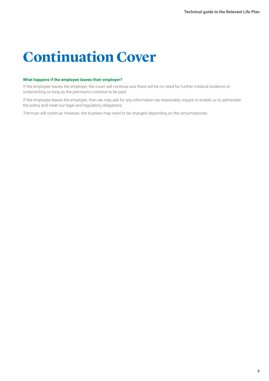## **Continuation Cover**

#### **What happens if the employee leaves their employer?**

If the employee leaves the employer, the cover will continue and there will be no need for further medical evidence or underwriting so long as the premiums continue to be paid.

If the employee leaves the employer, then we may ask for any information we reasonably require to enable us to administer the policy and meet our legal and regulatory obligations.

The trust will continue; however, the trustees may need to be changed depending on the circumstances.